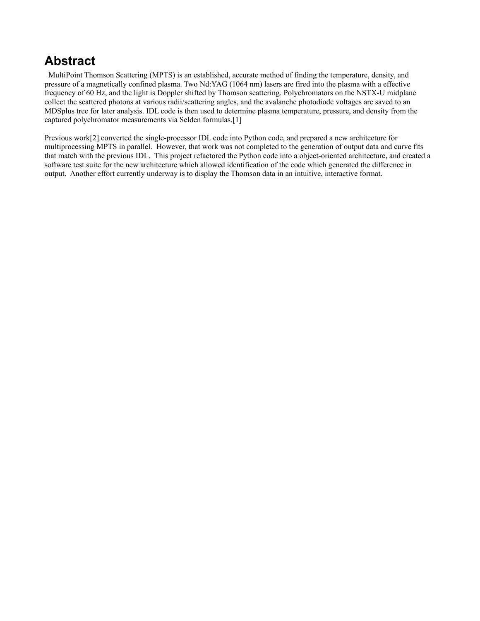#### **Abstract**

 MultiPoint Thomson Scattering (MPTS) is an established, accurate method of finding the temperature, density, and pressure of a magnetically confined plasma. Two Nd:YAG (1064 nm) lasers are fired into the plasma with a effective frequency of 60 Hz, and the light is Doppler shifted by Thomson scattering. Polychromators on the NSTX-U midplane collect the scattered photons at various radii/scattering angles, and the avalanche photodiode voltages are saved to an MDSplus tree for later analysis. IDL code is then used to determine plasma temperature, pressure, and density from the captured polychromator measurements via Selden formulas.[1]

Previous work[2] converted the single-processor IDL code into Python code, and prepared a new architecture for multiprocessing MPTS in parallel. However, that work was not completed to the generation of output data and curve fits that match with the previous IDL. This project refactored the Python code into a object-oriented architecture, and created a software test suite for the new architecture which allowed identification of the code which generated the difference in output. Another effort currently underway is to display the Thomson data in an intuitive, interactive format.